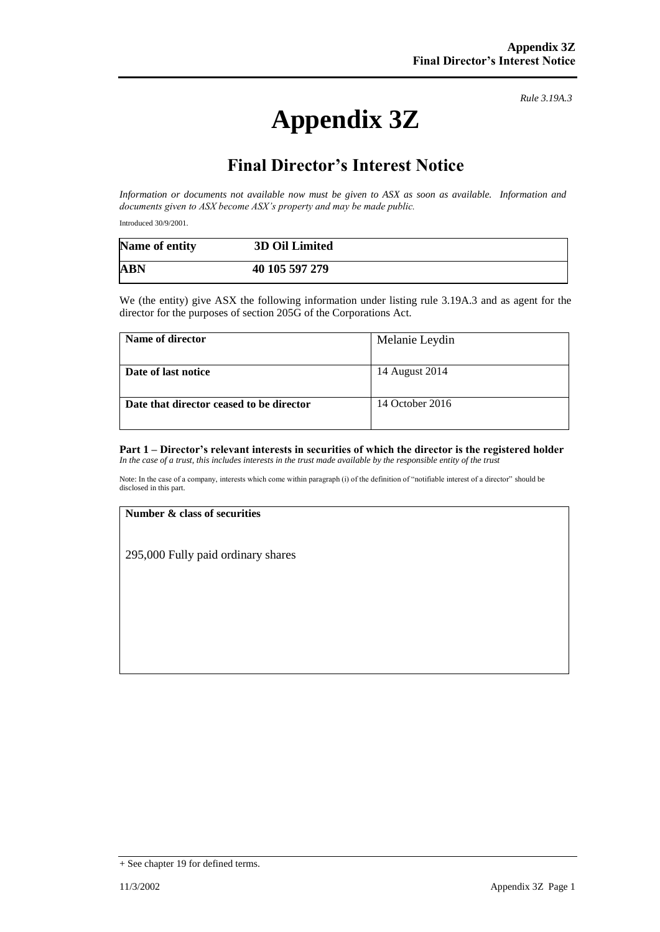# **Appendix 3Z**

*Rule 3.19A.3*

# **Final Director's Interest Notice**

*Information or documents not available now must be given to ASX as soon as available. Information and documents given to ASX become ASX's property and may be made public.*

Introduced 30/9/2001.

| Name of entity | 3D Oil Limited |  |
|----------------|----------------|--|
| <b>ABN</b>     | 40 105 597 279 |  |

We (the entity) give ASX the following information under listing rule 3.19A.3 and as agent for the director for the purposes of section 205G of the Corporations Act.

| Name of director                         | Melanie Leydin  |
|------------------------------------------|-----------------|
| Date of last notice                      | 14 August 2014  |
| Date that director ceased to be director | 14 October 2016 |

#### **Part 1 – Director's relevant interests in securities of which the director is the registered holder** *In the case of a trust, this includes interests in the trust made available by the responsible entity of the trust*

Note: In the case of a company, interests which come within paragraph (i) of the definition of "notifiable interest of a director" should be disclosed in this part.

### **Number & class of securities**

295,000 Fully paid ordinary shares

<sup>+</sup> See chapter 19 for defined terms.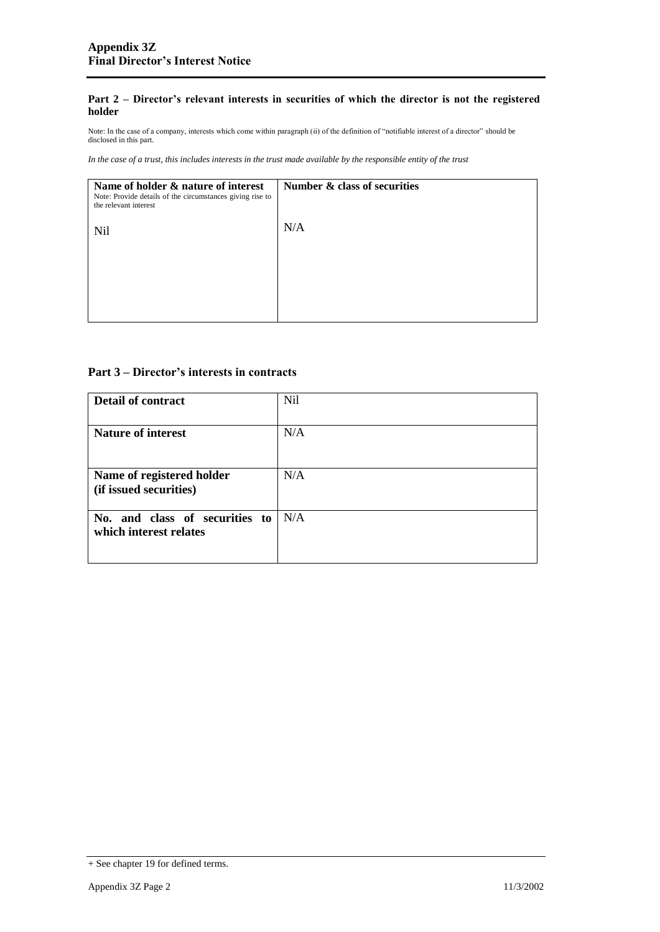### **Part 2 – Director's relevant interests in securities of which the director is not the registered holder**

Note: In the case of a company, interests which come within paragraph (ii) of the definition of "notifiable interest of a director" should be disclosed in this part.

*In the case of a trust, this includes interests in the trust made available by the responsible entity of the trust*

| Name of holder & nature of interest<br>Note: Provide details of the circumstances giving rise to<br>the relevant interest | Number & class of securities |
|---------------------------------------------------------------------------------------------------------------------------|------------------------------|
| Nil                                                                                                                       | N/A                          |
|                                                                                                                           |                              |
|                                                                                                                           |                              |

## **Part 3 – Director's interests in contracts**

| Detail of contract                                       | <b>Nil</b> |
|----------------------------------------------------------|------------|
| <b>Nature of interest</b>                                | N/A        |
| Name of registered holder<br>(if issued securities)      | N/A        |
| No. and class of securities to<br>which interest relates | N/A        |

<sup>+</sup> See chapter 19 for defined terms.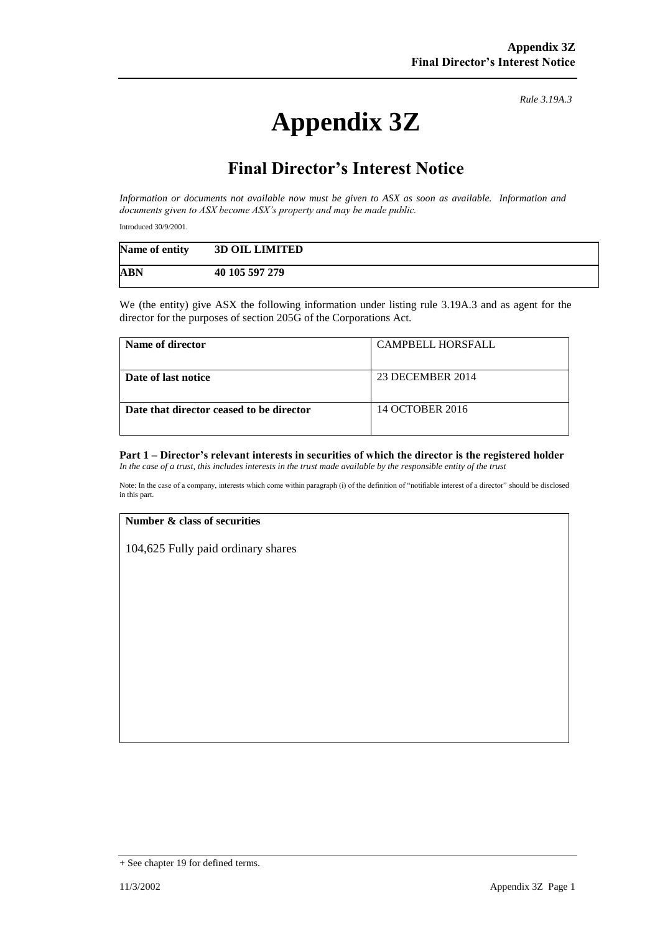# **Appendix 3Z**

*Rule 3.19A.3*

# **Final Director's Interest Notice**

*Information or documents not available now must be given to ASX as soon as available. Information and documents given to ASX become ASX's property and may be made public.*

Introduced 30/9/2001.

| Name of entity | <b>3D OIL LIMITED</b> |
|----------------|-----------------------|
| <b>ABN</b>     | 40 105 597 279        |

We (the entity) give ASX the following information under listing rule 3.19A.3 and as agent for the director for the purposes of section 205G of the Corporations Act.

| Name of director                         | <b>CAMPBELL HORSFALL</b> |
|------------------------------------------|--------------------------|
| Date of last notice                      | 23 DECEMBER 2014         |
| Date that director ceased to be director | 14 OCTOBER 2016          |

#### **Part 1 – Director's relevant interests in securities of which the director is the registered holder** *In the case of a trust, this includes interests in the trust made available by the responsible entity of the trust*

Note: In the case of a company, interests which come within paragraph (i) of the definition of "notifiable interest of a director" should be disclosed in this part.

### **Number & class of securities**

104,625 Fully paid ordinary shares

<sup>+</sup> See chapter 19 for defined terms.